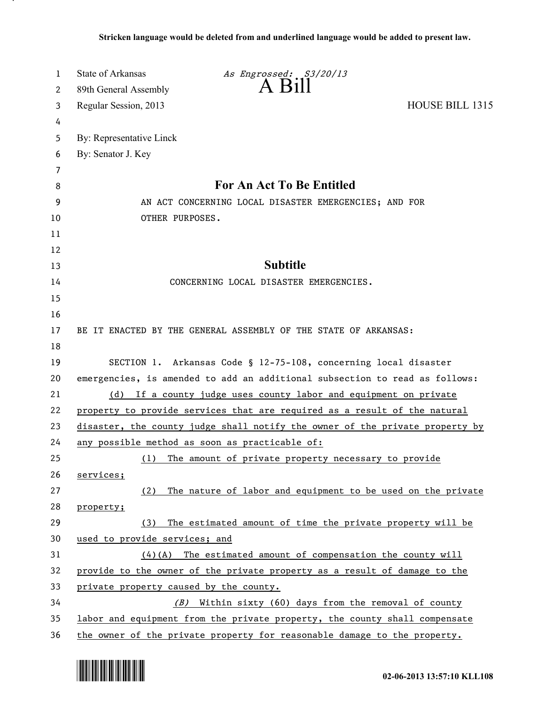| 1                     | <b>State of Arkansas</b><br>As Engrossed: S3/20/13                           |  |
|-----------------------|------------------------------------------------------------------------------|--|
| $\mathbf{2}^{\prime}$ | 89th General Assembly                                                        |  |
| 3                     | HOUSE BILL 1315<br>Regular Session, 2013                                     |  |
| 4                     |                                                                              |  |
| 5                     | By: Representative Linck                                                     |  |
| 6                     | By: Senator J. Key                                                           |  |
| 7                     |                                                                              |  |
| 8                     | For An Act To Be Entitled                                                    |  |
| 9                     | AN ACT CONCERNING LOCAL DISASTER EMERGENCIES; AND FOR                        |  |
| 10                    | OTHER PURPOSES.                                                              |  |
| 11                    |                                                                              |  |
| 12                    |                                                                              |  |
| 13                    | <b>Subtitle</b>                                                              |  |
| 14                    | CONCERNING LOCAL DISASTER EMERGENCIES.                                       |  |
| 15                    |                                                                              |  |
| 16                    |                                                                              |  |
| 17                    | BE IT ENACTED BY THE GENERAL ASSEMBLY OF THE STATE OF ARKANSAS:              |  |
| 18                    |                                                                              |  |
| 19                    | SECTION 1. Arkansas Code § 12-75-108, concerning local disaster              |  |
| 20                    | emergencies, is amended to add an additional subsection to read as follows:  |  |
| 21                    | (d) If a county judge uses county labor and equipment on private             |  |
| 22                    | property to provide services that are required as a result of the natural    |  |
| 23                    | disaster, the county judge shall notify the owner of the private property by |  |
| 24                    | any possible method as soon as practicable of:                               |  |
| 25                    | The amount of private property necessary to provide<br>(1)                   |  |
| 26                    | services;                                                                    |  |
| 27                    | The nature of labor and equipment to be used on the private<br>(2)           |  |
| 28                    | property;                                                                    |  |
| 29                    | The estimated amount of time the private property will be<br>(3)             |  |
| 30                    | used to provide services; and                                                |  |
| 31                    | $(4)(A)$ The estimated amount of compensation the county will                |  |
| 32                    | provide to the owner of the private property as a result of damage to the    |  |
| 33                    | private property caused by the county.                                       |  |
| 34                    | (B) Within sixty (60) days from the removal of county                        |  |
| 35                    | labor and equipment from the private property, the county shall compensate   |  |
| 36                    | the owner of the private property for reasonable damage to the property.     |  |